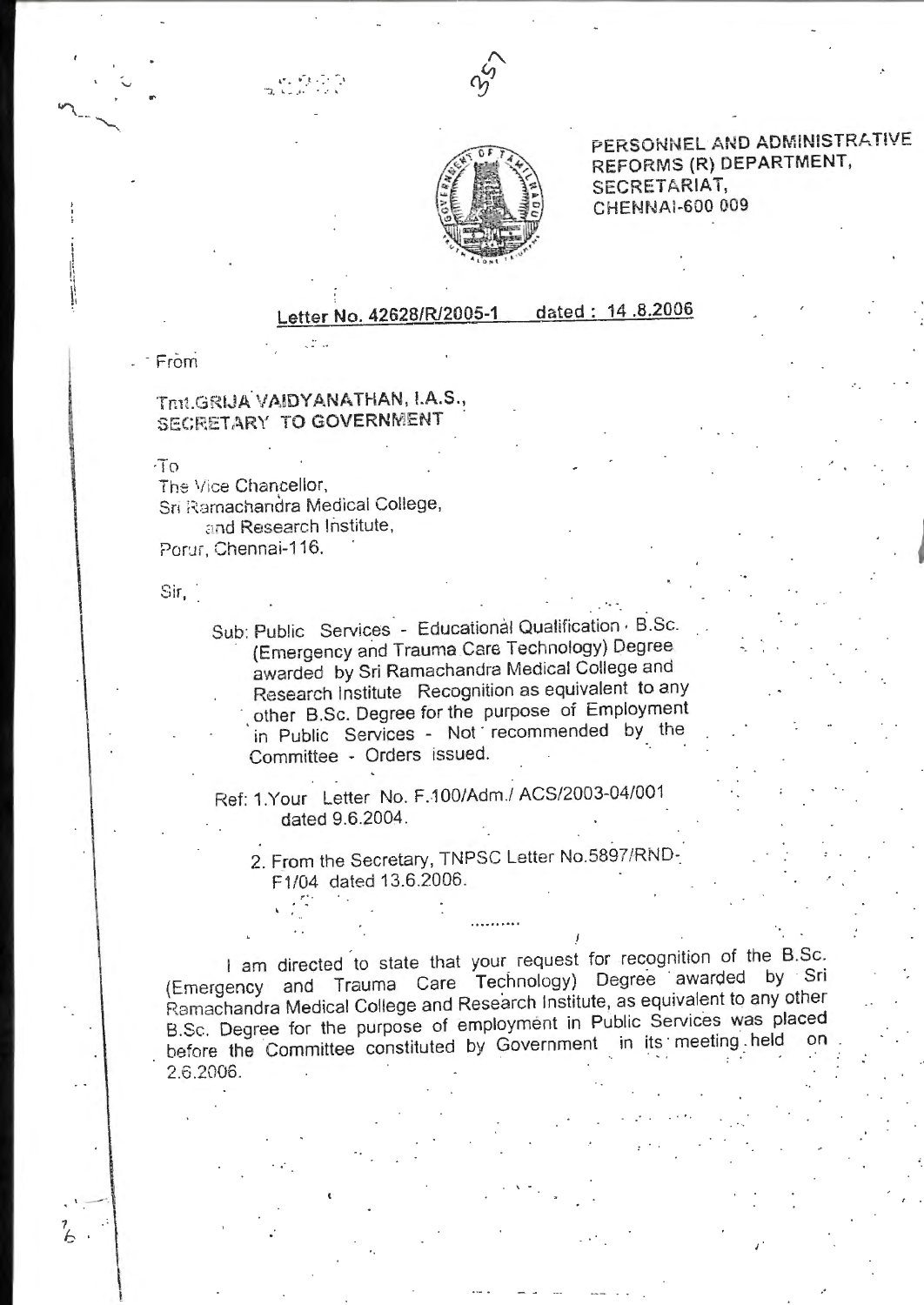



PERSONNEL AND ADMINISTRATIVE REFORMS (R) DEPARTMENT, SECRETARIAT, CHENNAI-600 009

## dated: 14.8.2006 etter No. 42628/R/2005-1

 $-$  From

## Thit.GRIJA VAIDYANATHAN, I.A.S., SECRETARY TO GOVERNMENT

 $\sqrt{10}$ 

The Vice Chancellor, Sri Ramachandra Medical College, and Research Institute, Porur, Chennai-116.

## $Sir,$

Ά

Sub: Public Services - Educational Qualification B.Sc. (Emergency and Trauma Care Technology) Degree awarded by Sri Ramachandra Medical College and Research Institute Recognition as equivalent to any other B.Sc. Degree for the purpose of Employment in Public Services - Not recommended by the Committee - Orders issued.

Ref: 1.Your Letter No. F.100/Adm./ ACS/2003-04/001 dated 9.6.2004.

2. From the Secretary, TNPSC Letter No.5897/RND-F1/04 dated 13.6.2006.

I am directed to state that your request for recognition of the B.Sc. (Emergency and Trauma Care Technology) Degree awarded by Sri Ramachandra Medical College and Research Institute, as equivalent to any other B.Sc. Degree for the purpose of employment in Public Services was placed before the Committee constituted by Government in its meeting held  $\alpha$ 2.6.2006.